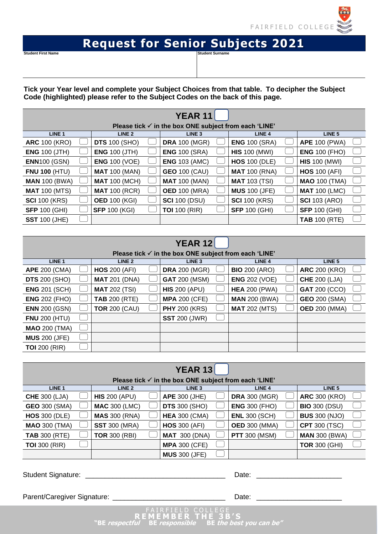

## **Request for Senior Subjects 2021**

**Student First Name** 

**Tick your Year level and complete your Subject Choices from that table. To decipher the Subject Code (highlighted) please refer to the Subject Codes on the back of this page.**

|                      |                      | <b>YEAR 11</b>                                                   |                      |                      |  |
|----------------------|----------------------|------------------------------------------------------------------|----------------------|----------------------|--|
|                      |                      | Please tick $\checkmark$ in the box ONE subject from each 'LINE' |                      |                      |  |
| LINE <sub>1</sub>    | LINE <sub>2</sub>    | LINE <sub>3</sub>                                                | LINE <sub>4</sub>    | LINE <sub>5</sub>    |  |
| <b>ARC 100 (KRO)</b> | <b>DTS</b> 100 (SHO) | <b>DRA 100 (MGR)</b>                                             | <b>ENG 100 (SRA)</b> | <b>APE 100 (PWA)</b> |  |
| <b>ENG 100 (JTH)</b> | <b>ENG 100 (JTH)</b> | <b>ENG 100 (SRA)</b>                                             | <b>HIS 100 (MWI)</b> | <b>ENG 100 (FHO)</b> |  |
| <b>ENN100 (GSN)</b>  | <b>ENG 100 (VOE)</b> | <b>ENG 103 (AMC)</b>                                             | <b>HOS 100 (DLE)</b> | <b>HIS 100 (MWI)</b> |  |
| <b>FNU 100 (HTU)</b> | <b>MAT 100 (MAN)</b> | <b>GEO 100 (CAU)</b>                                             | <b>MAT</b> 100 (RNA) | <b>HOS 100 (AFI)</b> |  |
| <b>MAN 100 (BWA)</b> | <b>MAT 100 (MCH)</b> | <b>MAT 100 (MAN)</b>                                             | <b>MAT 103 (TSI)</b> | <b>MAO 100 (TMA)</b> |  |
| <b>MAT 100 (MTS)</b> | <b>MAT 100 (RCR)</b> | <b>OED 100 (MRA)</b>                                             | <b>MUS 100 (JFE)</b> | <b>MAT 100 (LMC)</b> |  |
| <b>SCI</b> 100 (KRS) | <b>OED 100 (KGI)</b> | <b>SCI 100 (DSU)</b>                                             | <b>SCI</b> 100 (KRS) | <b>SCI</b> 103 (ARO) |  |
| <b>SFP 100 (GHI)</b> | <b>SFP 100 (KGI)</b> | <b>TOI</b> 100 (RIR)                                             | <b>SFP 100 (GHI)</b> | <b>SFP 100 (GHI)</b> |  |
| <b>SST 100 (JHE)</b> |                      |                                                                  |                      | <b>TAB 100 (RTE)</b> |  |

| <b>YEAR 12</b>                                                   |  |                      |  |                      |  |                      |  |                      |  |
|------------------------------------------------------------------|--|----------------------|--|----------------------|--|----------------------|--|----------------------|--|
| Please tick $\checkmark$ in the box ONE subject from each 'LINE' |  |                      |  |                      |  |                      |  |                      |  |
| LINE <sub>1</sub>                                                |  | LINE <sub>2</sub>    |  | LINE <sub>3</sub>    |  | LINE <sub>4</sub>    |  | LINE <sub>5</sub>    |  |
| <b>APE 200 (CMA)</b>                                             |  | <b>HOS 200 (AFI)</b> |  | <b>DRA</b> 200 (MGR) |  | <b>BIO</b> 200 (ARO) |  | <b>ARC 200 (KRO)</b> |  |
| <b>DTS</b> 200 (SHO)                                             |  | <b>MAT 201 (DNA)</b> |  | <b>GAT 200 (MSM)</b> |  | <b>ENG 202 (VOE)</b> |  | <b>CHE 200 (LJA)</b> |  |
| <b>ENG 201 (SCH)</b>                                             |  | <b>MAT 202 (TSI)</b> |  | <b>HIS 200 (APU)</b> |  | <b>HEA 200 (PWA)</b> |  | <b>GAT 200 (CCO)</b> |  |
| <b>ENG 202 (FHO)</b>                                             |  | <b>TAB 200 (RTE)</b> |  | <b>MPA 200 (CFE)</b> |  | <b>MAN 200 (BWA)</b> |  | <b>GEO 200 (SMA)</b> |  |
| <b>ENN</b> 200 (GSN)                                             |  | <b>TOR 200 (CAU)</b> |  | <b>PHY 200 (KRS)</b> |  | <b>MAT 202 (MTS)</b> |  | <b>OED</b> 200 (MMA) |  |
| <b>FNU 200 (HTU)</b>                                             |  |                      |  | <b>SST</b> 200 (JWR) |  |                      |  |                      |  |
| <b>MAO 200 (TMA)</b>                                             |  |                      |  |                      |  |                      |  |                      |  |
| <b>MUS 200 (JFE)</b>                                             |  |                      |  |                      |  |                      |  |                      |  |
| <b>TOI</b> 200 (RIR)                                             |  |                      |  |                      |  |                      |  |                      |  |

| <b>YEAR 13</b>       |  |                      |  |                                                                  |  |                      |  |                      |  |
|----------------------|--|----------------------|--|------------------------------------------------------------------|--|----------------------|--|----------------------|--|
|                      |  |                      |  | Please tick $\checkmark$ in the box ONE subject from each 'LINE' |  |                      |  |                      |  |
| LINE <sub>1</sub>    |  | LINE <sub>2</sub>    |  | LINE <sub>3</sub>                                                |  | LINE <sub>4</sub>    |  | LINE <sub>5</sub>    |  |
| <b>CHE 300 (LJA)</b> |  | <b>HIS 200 (APU)</b> |  | <b>APE 300 (JHE)</b>                                             |  | <b>DRA 300 (MGR)</b> |  | <b>ARC 300 (KRO)</b> |  |
| <b>GEO 300 (SMA)</b> |  | <b>MAC 300 (LMC)</b> |  | <b>DTS</b> 300 (SHO)                                             |  | <b>ENG 300 (FHO)</b> |  | <b>BIO 300 (DSU)</b> |  |
| <b>HOS 300 (DLE)</b> |  | <b>MAS 300 (RNA)</b> |  | <b>HEA 300 (CMA)</b>                                             |  | <b>ENL 300 (SCH)</b> |  | <b>BUS 300 (NJO)</b> |  |
| <b>MAO 300 (TMA)</b> |  | <b>SST</b> 300 (MRA) |  | <b>HOS 300 (AFI)</b>                                             |  | <b>OED 300 (MMA)</b> |  | <b>CPT 300 (TSC)</b> |  |
| <b>TAB 300 (RTE)</b> |  | <b>TOR 300 (RBI)</b> |  | <b>MAT 300 (DNA)</b>                                             |  | <b>PTT</b> 300 (MSM) |  | <b>MAN 300 (BWA)</b> |  |
| <b>TOI</b> 300 (RIR) |  |                      |  | <b>MPA 300 (CFE)</b>                                             |  |                      |  | <b>TOR 300 (GHI)</b> |  |
|                      |  |                      |  | <b>MUS 300 (JFE)</b>                                             |  |                      |  |                      |  |

Student Signature: \_\_\_\_\_\_\_\_\_\_\_\_\_\_\_\_\_\_\_\_\_\_\_\_\_\_\_\_\_\_\_\_\_\_\_\_ Date: \_\_\_\_\_\_\_\_\_\_\_\_\_\_\_\_\_\_\_\_\_\_

Parent/Caregiver Signature: \_\_\_\_\_\_\_\_\_\_\_\_\_\_\_\_\_\_\_\_\_\_\_\_\_\_\_\_\_ Date: \_\_\_\_\_\_\_\_\_\_\_\_\_\_\_\_\_\_\_\_\_\_

**R E M E M B E R T H E 3 B ' S "BE respectful BE responsible BE the best you can be"**